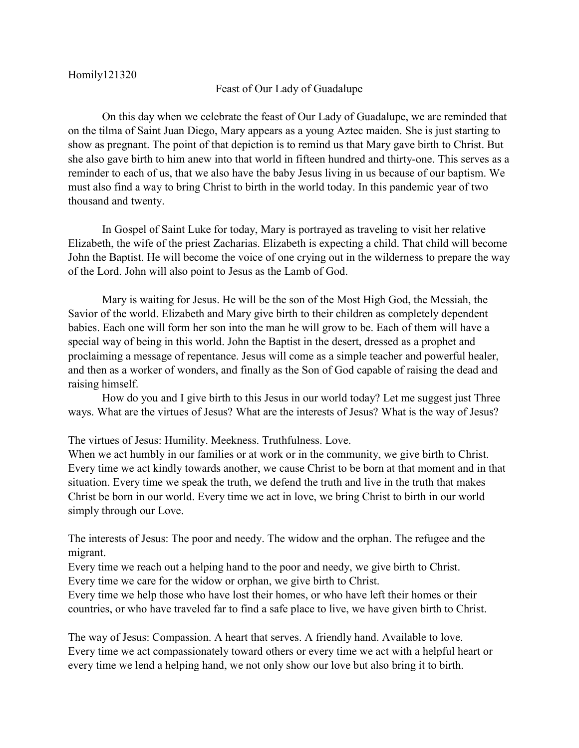## Feast of Our Lady of Guadalupe

On this day when we celebrate the feast of Our Lady of Guadalupe, we are reminded that on the tilma of Saint Juan Diego, Mary appears as a young Aztec maiden. She is just starting to show as pregnant. The point of that depiction is to remind us that Mary gave birth to Christ. But she also gave birth to him anew into that world in fifteen hundred and thirty-one. This serves as a reminder to each of us, that we also have the baby Jesus living in us because of our baptism. We must also find a way to bring Christ to birth in the world today. In this pandemic year of two thousand and twenty.

In Gospel of Saint Luke for today, Mary is portrayed as traveling to visit her relative Elizabeth, the wife of the priest Zacharias. Elizabeth is expecting a child. That child will become John the Baptist. He will become the voice of one crying out in the wilderness to prepare the way of the Lord. John will also point to Jesus as the Lamb of God.

Mary is waiting for Jesus. He will be the son of the Most High God, the Messiah, the Savior of the world. Elizabeth and Mary give birth to their children as completely dependent babies. Each one will form her son into the man he will grow to be. Each of them will have a special way of being in this world. John the Baptist in the desert, dressed as a prophet and proclaiming a message of repentance. Jesus will come as a simple teacher and powerful healer, and then as a worker of wonders, and finally as the Son of God capable of raising the dead and raising himself.

How do you and I give birth to this Jesus in our world today? Let me suggest just Three ways. What are the virtues of Jesus? What are the interests of Jesus? What is the way of Jesus?

The virtues of Jesus: Humility. Meekness. Truthfulness. Love.

When we act humbly in our families or at work or in the community, we give birth to Christ. Every time we act kindly towards another, we cause Christ to be born at that moment and in that situation. Every time we speak the truth, we defend the truth and live in the truth that makes Christ be born in our world. Every time we act in love, we bring Christ to birth in our world simply through our Love.

The interests of Jesus: The poor and needy. The widow and the orphan. The refugee and the migrant.

Every time we reach out a helping hand to the poor and needy, we give birth to Christ. Every time we care for the widow or orphan, we give birth to Christ.

Every time we help those who have lost their homes, or who have left their homes or their countries, or who have traveled far to find a safe place to live, we have given birth to Christ.

The way of Jesus: Compassion. A heart that serves. A friendly hand. Available to love. Every time we act compassionately toward others or every time we act with a helpful heart or every time we lend a helping hand, we not only show our love but also bring it to birth.